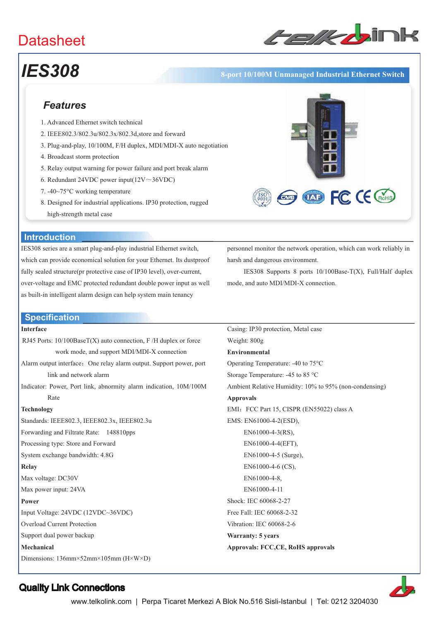# **Datasheet**



**EDE CE CHOHS** 

# *IES308* **8-port 10/100M Unmanaged Industrial Ethernet Switch**

# *Features*

- 1. Advanced Ethernet switch technical
- 2. IEEE802.3/802.3u/802.3x/802.3d,store and forward
- 3. Plug-and-play, 10/100M, F/H duplex, MDI/MDI-X auto negotiation
- 4. Broadcast storm protection
- 5. Relay output warning for power failure and port break alarm
- 6. Redundant 24VDC power input( $12V \sim 36VDC$ )
- 7. -40~75°C working temperature
- 8. Designed for industrial applications. IP30 protection, rugged high-strength metal case



IES308 series are a smart plug-and-play industrial Ethernet switch, which can provide economical solution for your Ethernet. Its dustproof fully sealed structure(pr protective case of IP30 level), over-current, over-voltage and EMC protected redundant double power input as well as built-in intelligent alarm design can help system main tenancy

personnel monitor the network operation, which can work reliably in harsh and dangerous environment.

IES308 Supports 8 ports 10/100Base-T(X), Full/Half duplex mode, and auto MDI/MDI-X connection.

## **Specification**

### **Interface**

RJ45 Ports: 10/100BaseT(X) auto connection, F /H duplex or force work mode, and support MDI/MDI-X connection

- Alarm output interface: One relay alarm output. Support power, port link and network alarm
- Indicator: Power, Port link, abnormity alarm indication, 10M/100M Rate

#### **Technology**

Standards: IEEE802.3, IEEE802.3x, IEEE802.3u Forwarding and Filtrate Rate: 148810pps Processing type: Store and Forward System exchange bandwidth: 4.8G **Relay**  Max voltage: DC30V Max power input: 24VA **Power**  Input Voltage: 24VDC (12VDC~36VDC)

Overload Current Protection

Support dual power backup

**Mechanical** 

Dimensions: 136mm×52mm×105mm (H×W×D)

Casing: IP30 protection, Metal case Weight: 800g **Environmental**  Operating Temperature: -40 to 75°C Storage Temperature: -45 to 85 °C Ambient Relative Humidity: 10% to 95% (non-condensing) **Approvals** EMI: FCC Part 15, CISPR (EN55022) class A EMS: EN61000-4-2(ESD), EN61000-4-3(RS), EN61000-4-4(EFT), EN61000-4-5 (Surge), EN61000-4-6 (CS), EN61000-4-8, EN61000-4-11 Shock: IEC 60068-2-27 Free Fall: IEC 60068-2-32 Vibration: IEC 60068-2-6 **Warranty: 5 years** 

**Approvals: FCC,CE, RoHS approvals**



# Quality Link Connections